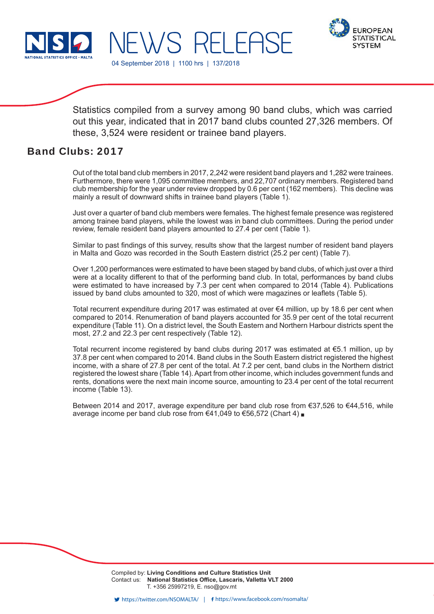



EWS RELEASE

04 September 2018 | 1100 hrs | 137/2018

Statistics compiled from a survey among 90 band clubs, which was carried out this year, indicated that in 2017 band clubs counted 27,326 members. Of these, 3,524 were resident or trainee band players.

# Band Clubs: 2017

Out of the total band club members in 2017, 2,242 were resident band players and 1,282 were trainees. Furthermore, there were 1,095 committee members, and 22,707 ordinary members. Registered band club membership for the year under review dropped by 0.6 per cent (162 members). This decline was mainly a result of downward shifts in trainee band players (Table 1).

Just over a quarter of band club members were females. The highest female presence was registered among trainee band players, while the lowest was in band club committees. During the period under review, female resident band players amounted to 27.4 per cent (Table 1).

Similar to past findings of this survey, results show that the largest number of resident band players in Malta and Gozo was recorded in the South Eastern district (25.2 per cent) (Table 7).

Over 1,200 performances were estimated to have been staged by band clubs, of which just over a third were at a locality different to that of the performing band club. In total, performances by band clubs were estimated to have increased by 7.3 per cent when compared to 2014 (Table 4). Publications issued by band clubs amounted to 320, most of which were magazines or leaflets (Table 5).

Total recurrent expenditure during 2017 was estimated at over €4 million, up by 18.6 per cent when compared to 2014. Renumeration of band players accounted for 35.9 per cent of the total recurrent expenditure (Table 11). On a district level, the South Eastern and Northern Harbour districts spent the most, 27.2 and 22.3 per cent respectively (Table 12).

Total recurrent income registered by band clubs during 2017 was estimated at  $\epsilon$ 5.1 million, up by 37.8 per cent when compared to 2014. Band clubs in the South Eastern district registered the highest income, with a share of 27.8 per cent of the total. At 7.2 per cent, band clubs in the Northern district registered the lowest share (Table 14). Apart from other income, which includes government funds and rents, donations were the next main income source, amounting to 23.4 per cent of the total recurrent income (Table 13).

Between 2014 and 2017, average expenditure per band club rose from €37,526 to €44,516, while average income per band club rose from  $€41,049$  to  $€56,572$  (Chart 4)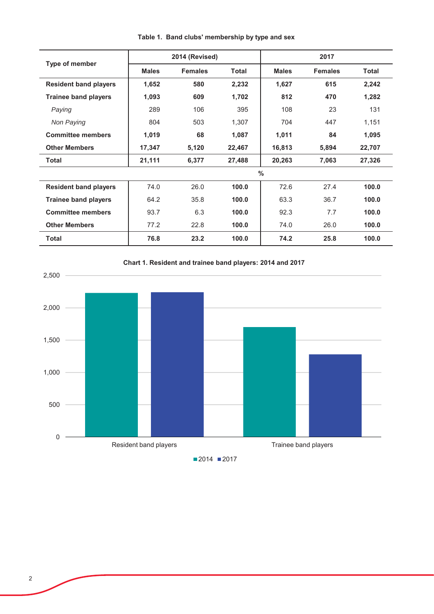|                              |              | 2014 (Revised) |              |               | 2017           |              |
|------------------------------|--------------|----------------|--------------|---------------|----------------|--------------|
| Type of member               | <b>Males</b> | <b>Females</b> | <b>Total</b> | <b>Males</b>  | <b>Females</b> | <b>Total</b> |
| <b>Resident band players</b> | 1,652        | 580            | 2,232        | 1,627         | 615            | 2,242        |
| <b>Trainee band players</b>  | 1,093        | 609            | 1,702        | 812           | 470            | 1,282        |
| Paying                       | 289          | 106            | 395          | 108           | 23             | 131          |
| Non Paying                   | 804          | 503            | 1,307        | 704           | 447            | 1,151        |
| <b>Committee members</b>     | 1,019        | 68             | 1,087        | 1,011         | 84             | 1,095        |
| <b>Other Members</b>         | 17,347       | 5,120          | 22,467       | 16,813        | 5,894          | 22,707       |
| Total                        | 21,111       | 6,377          | 27,488       | 20,263        | 7,063          | 27,326       |
|                              |              |                |              | $\frac{0}{0}$ |                |              |
| <b>Resident band players</b> | 74.0         | 26.0           | 100.0        | 72.6          | 27.4           | 100.0        |
| <b>Trainee band players</b>  | 64.2         | 35.8           | 100.0        | 63.3          | 36.7           | 100.0        |
| <b>Committee members</b>     | 93.7         | 6.3            | 100.0        | 92.3          | 7.7            | 100.0        |
| <b>Other Members</b>         | 77.2         | 22.8           | 100.0        | 74.0          | 26.0           | 100.0        |
| <b>Total</b>                 | 76.8         | 23.2           | 100.0        | 74.2          | 25.8           | 100.0        |

Table 1. Band clubs' membership by type and sex



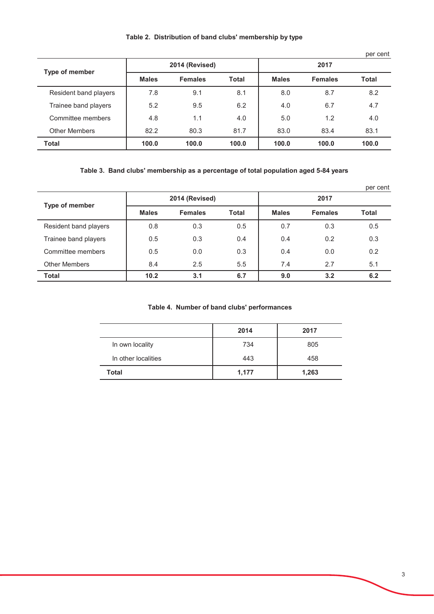|                       |              |                |              |              |                | per cent |
|-----------------------|--------------|----------------|--------------|--------------|----------------|----------|
| <b>Type of member</b> |              | 2014 (Revised) |              |              | 2017           |          |
|                       | <b>Males</b> | <b>Females</b> | <b>Total</b> | <b>Males</b> | <b>Females</b> | Total    |
| Resident band players | 7.8          | 9.1            | 8.1          | 8.0          | 8.7            | 8.2      |
| Trainee band players  | 5.2          | 9.5            | 6.2          | 4.0          | 6.7            | 4.7      |
| Committee members     | 4.8          | 1.1            | 4.0          | 5.0          | 1.2            | 4.0      |
| <b>Other Members</b>  | 82.2         | 80.3           | 81.7         | 83.0         | 83.4           | 83.1     |
| <b>Total</b>          | 100.0        | 100.0          | 100.0        | 100.0        | 100.0          | 100.0    |

## Table 3. Band clubs' membership as a percentage of total population aged 5-84 years

|                       |              |                |              |              |                | per cent |  |
|-----------------------|--------------|----------------|--------------|--------------|----------------|----------|--|
| <b>Type of member</b> |              | 2014 (Revised) |              | 2017         |                |          |  |
|                       | <b>Males</b> | <b>Females</b> | <b>Total</b> | <b>Males</b> | <b>Females</b> | Total    |  |
| Resident band players | 0.8          | 0.3            | 0.5          | 0.7          | 0.3            | 0.5      |  |
| Trainee band players  | 0.5          | 0.3            | 0.4          | 0.4          | 0.2            | 0.3      |  |
| Committee members     | 0.5          | 0.0            | 0.3          | 0.4          | 0.0            | 0.2      |  |
| <b>Other Members</b>  | 8.4          | 2.5            | 5.5          | 7.4          | 2.7            | 5.1      |  |
| <b>Total</b>          | 10.2         | 3.1            | 6.7          | 9.0          | 3.2            | 6.2      |  |

### Table 4. Number of band clubs' performances

|                     | 2014  | 2017  |
|---------------------|-------|-------|
| In own locality     | 734   | 805   |
| In other localities | 443   | 458   |
| <b>Total</b>        | 1,177 | 1,263 |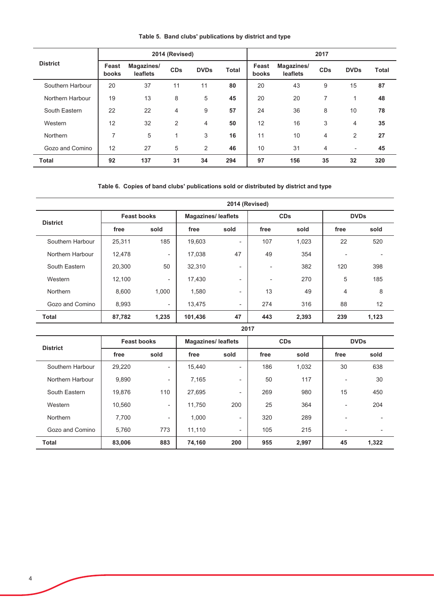|                  |                | 2014 (Revised)         |                |             | 2017         |                |                        |            |                          |              |
|------------------|----------------|------------------------|----------------|-------------|--------------|----------------|------------------------|------------|--------------------------|--------------|
| <b>District</b>  | Feast<br>books | Magazines/<br>leaflets | <b>CDs</b>     | <b>DVDs</b> | <b>Total</b> | Feast<br>books | Magazines/<br>leaflets | <b>CDs</b> | <b>DVDs</b>              | <b>Total</b> |
| Southern Harbour | 20             | 37                     | 11             | 11          | 80           | 20             | 43                     | 9          | 15                       | 87           |
| Northern Harbour | 19             | 13                     | 8              | 5           | 45           | 20             | 20                     | 7          | 1                        | 48           |
| South Eastern    | 22             | 22                     | 4              | 9           | 57           | 24             | 36                     | 8          | 10                       | 78           |
| Western          | 12             | 32                     | $\overline{2}$ | 4           | 50           | 12             | 16                     | 3          | 4                        | 35           |
| Northern         | $\overline{7}$ | 5                      | 4              | 3           | 16           | 11             | 10                     | 4          | $\overline{2}$           | 27           |
| Gozo and Comino  | 12             | 27                     | 5              | 2           | 46           | 10             | 31                     | 4          | $\overline{\phantom{a}}$ | 45           |
| <b>Total</b>     | 92             | 137                    | 31             | 34          | 294          | 97             | 156                    | 35         | 32                       | 320          |

Table 5. Band clubs' publications by district and type

#### Table 6. Copies of band clubs' publications sold or distributed by district and type

|                  |                    | 2014 (Revised)           |         |                           |      |            |      |             |  |  |
|------------------|--------------------|--------------------------|---------|---------------------------|------|------------|------|-------------|--|--|
| <b>District</b>  | <b>Feast books</b> |                          |         | <b>Magazines/leaflets</b> |      | <b>CDs</b> |      | <b>DVDs</b> |  |  |
|                  | free               | sold                     | free    | sold                      | free | sold       | free | sold        |  |  |
| Southern Harbour | 25,311             | 185                      | 19,603  | Ξ.                        | 107  | 1,023      | 22   | 520         |  |  |
| Northern Harbour | 12,478             | $\overline{\phantom{0}}$ | 17.038  | 47                        | 49   | 354        |      |             |  |  |
| South Eastern    | 20,300             | 50                       | 32,310  | ۰                         | ٠    | 382        | 120  | 398         |  |  |
| Western          | 12,100             | ۰.                       | 17,430  | $\overline{\phantom{a}}$  | ٠    | 270        | 5    | 185         |  |  |
| <b>Northern</b>  | 8,600              | 1.000                    | 1,580   | ٠                         | 13   | 49         | 4    | 8           |  |  |
| Gozo and Comino  | 8,993              | ٠                        | 13,475  | ٠                         | 274  | 316        | 88   | 12          |  |  |
| <b>Total</b>     | 87,782             | 1,235                    | 101,436 | 47                        | 443  | 2,393      | 239  | 1,123       |  |  |

#### 2017

| <b>District</b>  | <b>Feast books</b> |                          | <b>Magazines/ leaflets</b> |      |      | <b>CDs</b> |                          | <b>DVDs</b> |  |  |
|------------------|--------------------|--------------------------|----------------------------|------|------|------------|--------------------------|-------------|--|--|
|                  | free               | sold                     | free                       | sold | free | sold       | free                     | sold        |  |  |
| Southern Harbour | 29,220             |                          | 15.440                     | Ξ.   | 186  | 1,032      | 30                       | 638         |  |  |
| Northern Harbour | 9,890              | $\overline{\phantom{0}}$ | 7,165                      | Ξ.   | 50   | 117        | $\overline{\phantom{a}}$ | 30          |  |  |
| South Eastern    | 19,876             | 110                      | 27.695                     | Ξ.   | 269  | 980        | 15                       | 450         |  |  |
| Western          | 10,560             | $\overline{\phantom{0}}$ | 11,750                     | 200  | 25   | 364        | ۰                        | 204         |  |  |
| Northern         | 7.700              | Ξ.                       | 1,000                      | ۰.   | 320  | 289        |                          |             |  |  |
| Gozo and Comino  | 5.760              | 773                      | 11.110                     | ۰.   | 105  | 215        |                          |             |  |  |
| <b>Total</b>     | 83,006             | 883                      | 74,160                     | 200  | 955  | 2,997      | 45                       | 1,322       |  |  |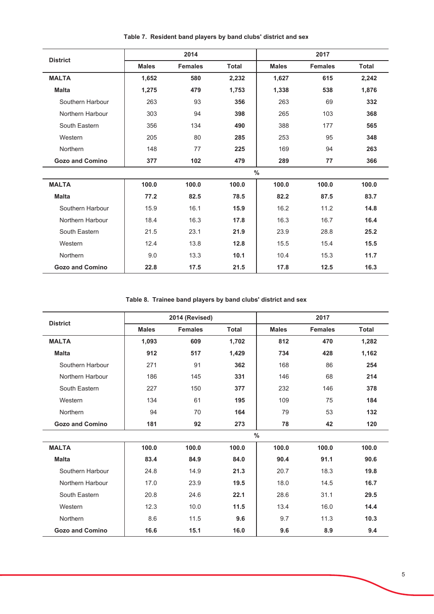| <b>District</b>        |              | 2014           |              |              | 2017           |              |
|------------------------|--------------|----------------|--------------|--------------|----------------|--------------|
|                        | <b>Males</b> | <b>Females</b> | <b>Total</b> | <b>Males</b> | <b>Females</b> | <b>Total</b> |
| <b>MALTA</b>           | 1,652        | 580            | 2,232        | 1,627        | 615            | 2,242        |
| <b>Malta</b>           | 1,275        | 479            | 1,753        | 1,338        | 538            | 1,876        |
| Southern Harbour       | 263          | 93             | 356          | 263          | 69             | 332          |
| Northern Harbour       | 303          | 94             | 398          | 265          | 103            | 368          |
| South Eastern          | 356          | 134            | 490          | 388          | 177            | 565          |
| Western                | 205          | 80             | 285          | 253          | 95             | 348          |
| Northern               | 148          | 77             | 225          | 169          | 94             | 263          |
| <b>Gozo and Comino</b> | 377          | 102            | 479          | 289          | 77             | 366          |
|                        |              |                |              | $\%$         |                |              |
| <b>MALTA</b>           | 100.0        | 100.0          | 100.0        | 100.0        | 100.0          | 100.0        |
| <b>Malta</b>           | 77.2         | 82.5           | 78.5         | 82.2         | 87.5           | 83.7         |
| Southern Harbour       | 15.9         | 16.1           | 15.9         | 16.2         | 11.2           | 14.8         |
| Northern Harbour       | 18.4         | 16.3           | 17.8         | 16.3         | 16.7           | 16.4         |
| South Eastern          | 21.5         | 23.1           | 21.9         | 23.9         | 28.8           | 25.2         |
| Western                | 12.4         | 13.8           | 12.8         | 15.5         | 15.4           | 15.5         |
| Northern               | 9.0          | 13.3           | 10.1         | 10.4         | 15.3           | 11.7         |
| <b>Gozo and Comino</b> | 22.8         | 17.5           | 21.5         | 17.8         | 12.5           | 16.3         |

Table 7. Resident band players by band clubs' district and sex

Table 8. Trainee band players by band clubs' district and sex

| <b>District</b>        |              | 2014 (Revised) |              |              | 2017           |              |
|------------------------|--------------|----------------|--------------|--------------|----------------|--------------|
|                        | <b>Males</b> | <b>Females</b> | <b>Total</b> | <b>Males</b> | <b>Females</b> | <b>Total</b> |
| <b>MALTA</b>           | 1,093        | 609            | 1,702        | 812          | 470            | 1,282        |
| <b>Malta</b>           | 912          | 517            | 1,429        | 734          | 428            | 1,162        |
| Southern Harbour       | 271          | 91             | 362          | 168          | 86             | 254          |
| Northern Harbour       | 186          | 145            | 331          | 146          | 68             | 214          |
| South Eastern          | 227          | 150            | 377          | 232          | 146            | 378          |
| Western                | 134          | 61             | 195          | 109          | 75             | 184          |
| Northern               | 94           | 70             | 164          | 79           | 53             | 132          |
| <b>Gozo and Comino</b> | 181          | 92             | 273          | 78           | 42             | 120          |
|                        |              |                |              | $\%$         |                |              |
| <b>MALTA</b>           | 100.0        | 100.0          | 100.0        | 100.0        | 100.0          | 100.0        |
| <b>Malta</b>           | 83.4         | 84.9           | 84.0         | 90.4         | 91.1           | 90.6         |
| Southern Harbour       | 24.8         | 14.9           | 21.3         | 20.7         | 18.3           | 19.8         |
| Northern Harbour       | 17.0         | 23.9           | 19.5         | 18.0         | 14.5           | 16.7         |
| South Eastern          | 20.8         | 24.6           | 22.1         | 28.6         | 31.1           | 29.5         |
| Western                | 12.3         | 10.0           | 11.5         | 13.4         | 16.0           | 14.4         |
| Northern               | 8.6          | 11.5           | 9.6          | 9.7          | 11.3           | 10.3         |
| <b>Gozo and Comino</b> | 16.6         | 15.1           | 16.0         | 9.6          | 8.9            | 9.4          |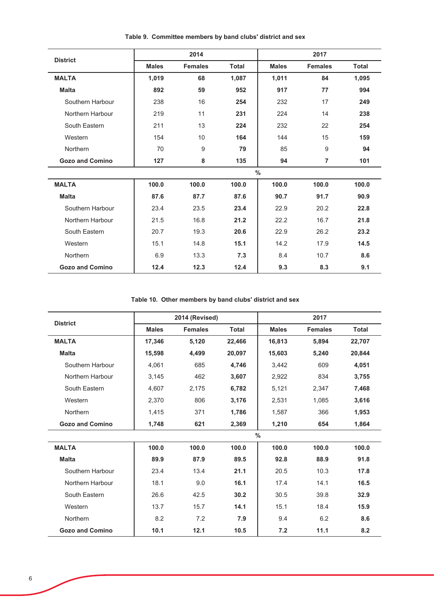|                        |              | 2014           |              |              | 2017           |              |
|------------------------|--------------|----------------|--------------|--------------|----------------|--------------|
| <b>District</b>        | <b>Males</b> | <b>Females</b> | <b>Total</b> | <b>Males</b> | <b>Females</b> | <b>Total</b> |
| <b>MALTA</b>           | 1,019        | 68             | 1,087        | 1,011        | 84             | 1,095        |
| <b>Malta</b>           | 892          | 59             | 952          | 917          | 77             | 994          |
| Southern Harbour       | 238          | 16             | 254          | 232          | 17             | 249          |
| Northern Harbour       | 219          | 11             | 231          | 224          | 14             | 238          |
| South Eastern          | 211          | 13             | 224          | 232          | 22             | 254          |
| Western                | 154          | 10             | 164          | 144          | 15             | 159          |
| Northern               | 70           | 9              | 79           | 85           | 9              | 94           |
| <b>Gozo and Comino</b> | 127          | 8              | 135          | 94           | 7              | 101          |
|                        |              |                |              | $\%$         |                |              |
| <b>MALTA</b>           | 100.0        | 100.0          | 100.0        | 100.0        | 100.0          | 100.0        |
| <b>Malta</b>           | 87.6         | 87.7           | 87.6         | 90.7         | 91.7           | 90.9         |
| Southern Harbour       | 23.4         | 23.5           | 23.4         | 22.9         | 20.2           | 22.8         |
| Northern Harbour       | 21.5         | 16.8           | 21.2         | 22.2         | 16.7           | 21.8         |
| South Eastern          | 20.7         | 19.3           | 20.6         | 22.9         | 26.2           | 23.2         |
| Western                | 15.1         | 14.8           | 15.1         | 14.2         | 17.9           | 14.5         |
| Northern               | 6.9          | 13.3           | 7.3          | 8.4          | 10.7           | 8.6          |
| <b>Gozo and Comino</b> | 12.4         | 12.3           | 12.4         | 9.3          | 8.3            | 9.1          |

Table 9. Committee members by band clubs' district and sex

Table 10. Other members by band clubs' district and sex

| <b>District</b>        |              | 2014 (Revised) |              |               | 2017           |              |
|------------------------|--------------|----------------|--------------|---------------|----------------|--------------|
|                        | <b>Males</b> | <b>Females</b> | <b>Total</b> | <b>Males</b>  | <b>Females</b> | <b>Total</b> |
| <b>MALTA</b>           | 17,346       | 5,120          | 22,466       | 16,813        | 5,894          | 22,707       |
| <b>Malta</b>           | 15,598       | 4,499          | 20,097       | 15,603        | 5,240          | 20,844       |
| Southern Harbour       | 4,061        | 685            | 4,746        | 3,442         | 609            | 4,051        |
| Northern Harbour       | 3,145        | 462            | 3,607        | 2,922         | 834            | 3,755        |
| South Eastern          | 4,607        | 2,175          | 6,782        | 5,121         | 2,347          | 7,468        |
| Western                | 2,370        | 806            | 3,176        | 2,531         | 1,085          | 3,616        |
| Northern               | 1,415        | 371            | 1,786        | 1,587         | 366            | 1,953        |
| <b>Gozo and Comino</b> | 1,748        | 621            | 2,369        | 1,210         | 654            | 1,864        |
|                        |              |                |              | $\frac{0}{0}$ |                |              |
| <b>MALTA</b>           | 100.0        | 100.0          | 100.0        | 100.0         | 100.0          | 100.0        |
| <b>Malta</b>           | 89.9         | 87.9           | 89.5         | 92.8          | 88.9           | 91.8         |
| Southern Harbour       | 23.4         | 13.4           | 21.1         | 20.5          | 10.3           | 17.8         |
| Northern Harbour       | 18.1         | 9.0            | 16.1         | 17.4          | 14.1           | 16.5         |
| South Eastern          | 26.6         | 42.5           | 30.2         | 30.5          | 39.8           | 32.9         |
| Western                | 13.7         | 15.7           | 14.1         | 15.1          | 18.4           | 15.9         |
| Northern               | 8.2          | 7.2            | 7.9          | 9.4           | 6.2            | 8.6          |
| <b>Gozo and Comino</b> | 10.1         | 12.1           | 10.5         | 7.2           | 11.1           | 8.2          |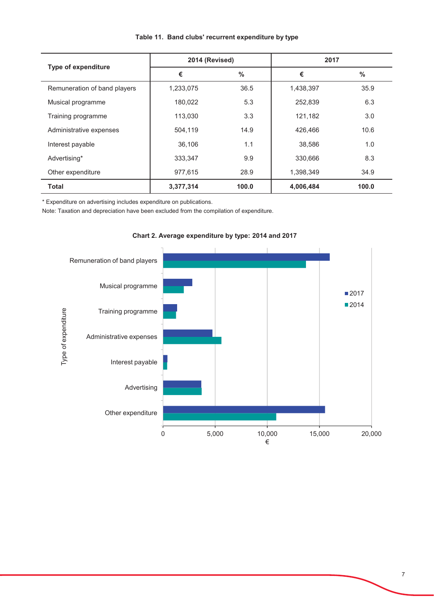| <b>Type of expenditure</b>   | 2014 (Revised) |               | 2017      |       |
|------------------------------|----------------|---------------|-----------|-------|
|                              | €              | $\frac{0}{0}$ | €         | $\%$  |
| Remuneration of band players | 1,233,075      | 36.5          | 1,438,397 | 35.9  |
| Musical programme            | 180,022        | 5.3           | 252,839   | 6.3   |
| Training programme           | 113,030        | 3.3           | 121,182   | 3.0   |
| Administrative expenses      | 504,119        | 14.9          | 426,466   | 10.6  |
| Interest payable             | 36,106         | 1.1           | 38,586    | 1.0   |
| Advertising*                 | 333,347        | 9.9           | 330,666   | 8.3   |
| Other expenditure            | 977,615        | 28.9          | 1,398,349 | 34.9  |
| <b>Total</b>                 | 3,377,314      | 100.0         | 4,006,484 | 100.0 |

## Table 11. Band clubs' recurrent expenditure by type

\* Expenditure on advertising includes expenditure on publications.

Note: Taxation and depreciation have been excluded from the compilation of expenditure.



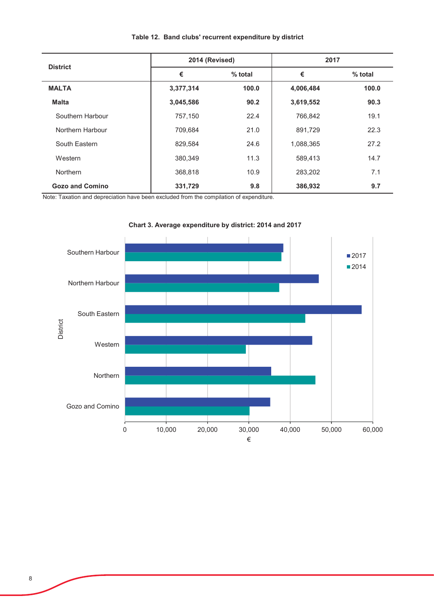| <b>District</b>        | 2014 (Revised) |         | 2017      |         |
|------------------------|----------------|---------|-----------|---------|
|                        | €              | % total | €         | % total |
| <b>MALTA</b>           | 3,377,314      | 100.0   | 4,006,484 | 100.0   |
| <b>Malta</b>           | 3,045,586      | 90.2    | 3,619,552 | 90.3    |
| Southern Harbour       | 757,150        | 22.4    | 766,842   | 19.1    |
| Northern Harbour       | 709,684        | 21.0    | 891,729   | 22.3    |
| South Eastern          | 829,584        | 24.6    | 1,088,365 | 27.2    |
| Western                | 380,349        | 11.3    | 589,413   | 14.7    |
| <b>Northern</b>        | 368,818        | 10.9    | 283,202   | 7.1     |
| <b>Gozo and Comino</b> | 331,729        | 9.8     | 386,932   | 9.7     |

## Table 12. Band clubs' recurrent expenditure by district

Note: Taxation and depreciation have been excluded from the compilation of expenditure.



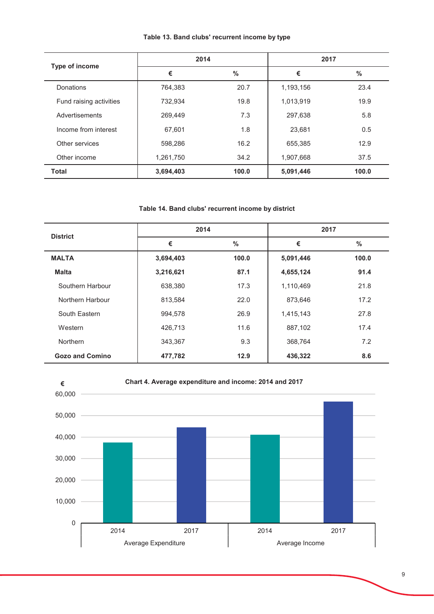|  | Table 13. Band clubs' recurrent income by type |  |  |  |
|--|------------------------------------------------|--|--|--|
|--|------------------------------------------------|--|--|--|

| Type of income          | 2014      |       | 2017      |               |
|-------------------------|-----------|-------|-----------|---------------|
|                         | €         | $\%$  | €         | $\frac{0}{0}$ |
| Donations               | 764,383   | 20.7  | 1,193,156 | 23.4          |
| Fund raising activities | 732,934   | 19.8  | 1,013,919 | 19.9          |
| Advertisements          | 269,449   | 7.3   | 297,638   | 5.8           |
| Income from interest    | 67,601    | 1.8   | 23,681    | 0.5           |
| Other services          | 598,286   | 16.2  | 655,385   | 12.9          |
| Other income            | 1,261,750 | 34.2  | 1,907,668 | 37.5          |
| <b>Total</b>            | 3,694,403 | 100.0 | 5,091,446 | 100.0         |

## Table 14. Band clubs' recurrent income by district

| <b>District</b>        | 2014      |               | 2017      |               |
|------------------------|-----------|---------------|-----------|---------------|
|                        | €         | $\frac{0}{0}$ | €         | $\frac{0}{0}$ |
| <b>MALTA</b>           | 3,694,403 | 100.0         | 5,091,446 | 100.0         |
| <b>Malta</b>           | 3,216,621 | 87.1          | 4,655,124 | 91.4          |
| Southern Harbour       | 638,380   | 17.3          | 1,110,469 | 21.8          |
| Northern Harbour       | 813,584   | 22.0          | 873,646   | 17.2          |
| South Eastern          | 994,578   | 26.9          | 1,415,143 | 27.8          |
| Western                | 426,713   | 11.6          | 887,102   | 17.4          |
| <b>Northern</b>        | 343,367   | 9.3           | 368,764   | 7.2           |
| <b>Gozo and Comino</b> | 477,782   | 12.9          | 436,322   | 8.6           |